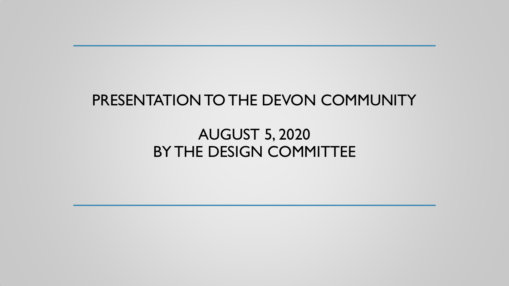### PRESENTATION TO THE DEVON COMMUNITY

### AUGUST 5, 2020 BY THE DESIGN COMMITTEE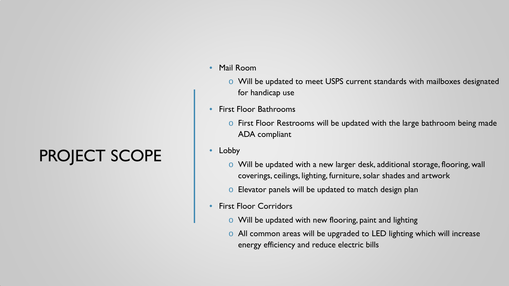## PROJECT SCOPE

- Mail Room
	- o Will be updated to meet USPS current standards with mailboxes designated for handicap use
- First Floor Bathrooms
	- o First Floor Restrooms will be updated with the large bathroom being made ADA compliant
- Lobby
	- o Will be updated with a new larger desk, additional storage, flooring, wall coverings, ceilings, lighting, furniture, solar shades and artwork
	- o Elevator panels will be updated to match design plan
- **First Floor Corridors** 
	- $\circ$  Will be updated with new flooring, paint and lighting
	- o All common areas will be upgraded to LED lighting which will increase energy efficiency and reduce electric bills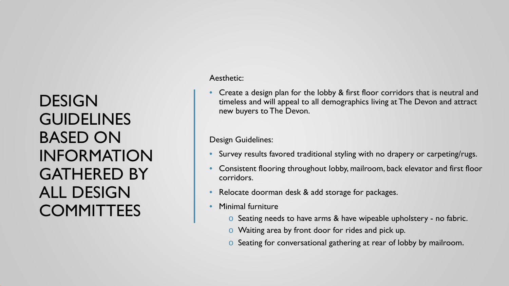**DESIGN GUIDELINES** BASED ON INFORMATION GATHERED BY ALL DESIGN **COMMITTEES** 

### Aesthetic:

• Create a design plan for the lobby & first floor corridors that is neutral and timeless and will appeal to all demographics living at The Devon and attract new buyers to The Devon.

### Design Guidelines:

- Survey results favored traditional styling with no drapery or carpeting/rugs.
- Consistent flooring throughout lobby, mailroom, back elevator and first floor corridors.
- Relocate doorman desk & add storage for packages.
- Minimal furniture
	- o Seating needs to have arms & have wipeable upholstery no fabric.
	- o Waiting area by front door for rides and pick up.
	- o Seating for conversational gathering at rear of lobby by mailroom.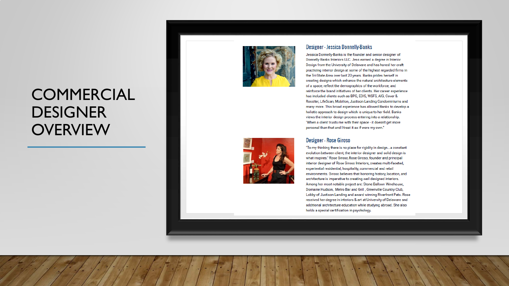### **COMMERCIAL** DESIGNER **OVERVIEW**





#### **Designer - Jessica Donnelly-Banks**

Jessica Donnelly-Banks is the founder and senior designer of Donnelly Banks Interiors LLC. Jess earned a degree in Interior Design from the University of Delaware and has honed her craft practicing interior design at some of the highest regarded firms in the Tri-State Area over last 20 years. Banks prides herself in creating designs which enhance the natural architecture elements of a space, reflect the demographics of the workforce, and reinforce the brand initiatives of her clients. Her career experience has included clients such as BPG, EDIS, WSFS, AIG, Cover & Rossiter, LifeScan, Mobilion, Justison Landing Condominiums and many more. This broad experience has allowed Banks to develop a holistic approach to design which is unique to her field. Banks views the interior design process entering into a relationship. "When a client trusts me with their space - it doesn't get more personal than that and I treat it as if were my own."

#### **Designer - Rose Giroso**

"To my thinking there is no place for rigidity in design...a constant evolution between client, the interior designer and solid design is what inspires." Rose Giroso. Rose Giroso, founder and principal interior designer of Rose Giroso Interiors, creates multi-faceted, experiential residential, hospitality, commercial and retail environments. Giroso believes that honoring history, location, and architecture is imperative to creating well designed interiors. Among her most notable project are: Stone Balloon Winehouse, Domaine Hudson, Metro Bar and Grill, Greenville Country Club, Lobby of Justison Landing and award winning Riverfront Pets. Rose received her degree in interiors & art at University of Delaware and additional architecture education while studying abroad. She also holds a special certification in psychology.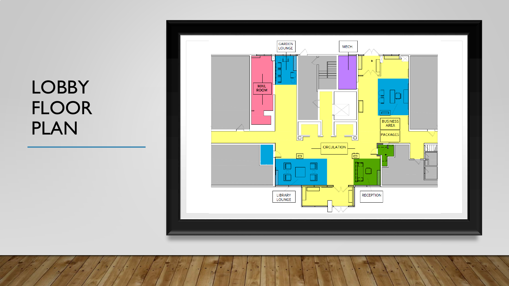# LOBBY FLOOR PLAN

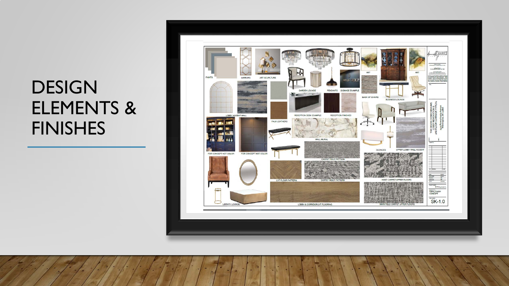# DESIGN ELEMENTS & **FINISHES**

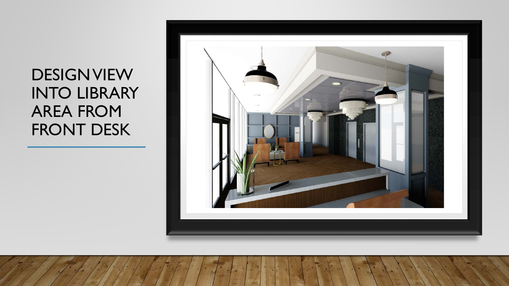## DESIGN VIEW INTO LIBRARY AREA FROM FRONT DESK

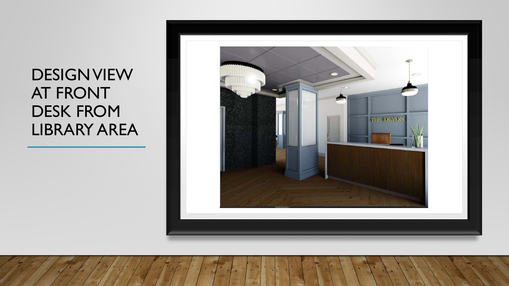## DESIGN VIEW AT FRONT DESK FROM LIBRARY AREA